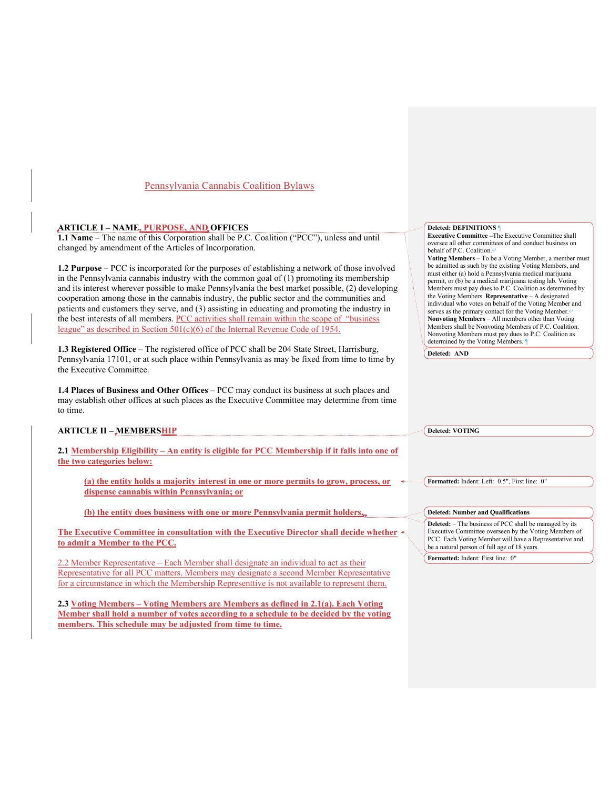# Pennsylvania Cannabis Coalition Bylaws

# **ARTICLE I – NAME, PURPOSE, AND OFFICES**

**1.1 Name** – The name of this Corporation shall be P.C. Coalition ("PCC"), unless and until changed by amendment of the Articles of Incorporation.

**1.2 Purpose** – PCC is incorporated for the purposes of establishing a network of those involved in the Pennsylvania cannabis industry with the common goal of (1) promoting its membership and its interest wherever possible to make Pennsylvania the best market possible, (2) developing cooperation among those in the cannabis industry, the public sector and the communities and patients and customers they serve, and (3) assisting in educating and promoting the industry in the best interests of all members. PCC activities shall remain within the scope of "business league" as described in Section 501(c)(6) of the Internal Revenue Code of 1954.

**1.3 Registered Office** – The registered office of PCC shall be 204 State Street, Harrisburg, Pennsylvania 17101, or at such place within Pennsylvania as may be fixed from time to time by the Executive Committee.

**1.4 Places of Business and Other Offices** – PCC may conduct its business at such places and may establish other offices at such places as the Executive Committee may determine from time to time.

### **ARTICLE II – MEMBERSHIP**

**2.1 Membership Eligibility – An entity is eligible for PCC Membership if it falls into one of the two categories below:**

**(a) the entity holds a majority interest in one or more permits to grow, process, or dispense cannabis within Pennsylvania; or**

**(b) the entity does business with one or more Pennsylvania permit holders.**

**The Executive Committee in consultation with the Executive Director shall decide whether to admit a Member to the PCC.**

2.2 Member Representative – Each Member shall designate an individual to act as their Representative for all PCC matters. Members may designate a second Member Representative for a circumstance in which the Membership Representtive is not available to represent them.

**2.3 Voting Members – Voting Members are Members as defined in 2.1(a). Each Voting Member shall hold a number of votes according to a schedule to be decided by the voting members. This schedule may be adjusted from time to time.** 

#### **Deleted: DEFINITIONS** ¶

**Executive Committee –**The Executive Committee shall oversee all other committees of and conduct business on behalf of P.C. Coalition. $\leftarrow$ 

**Voting Members** – To be a Voting Member, a member must be admitted as such by the existing Voting Members, and must either (a) hold a Pennsylvania medical marijuana permit, or (b) be a medical marijuana testing lab. Voting Members must pay dues to P.C. Coalition as determined by the Voting Members. **Representative** – A designated individual who votes on behalf of the Voting Member and serves as the primary contact for the Voting Member.<sup>4</sup> **Nonvoting Members** – All members other than Voting Members shall be Nonvoting Members of P.C. Coalition. Nonvoting Members must pay dues to P.C. Coalition as determined by the Voting Members.

**Deleted: AND**

**Deleted: VOTING** 

**Formatted:** Indent: Left: 0.5", First line: 0"

#### **Deleted: Number and Qualifications**

**Deleted:** – The business of PCC shall be managed by its Executive Committee overseen by the Voting Members of PCC. Each Voting Member will have a Representative and be a natural person of full age of 18 years.

**Formatted:** Indent: First line: 0"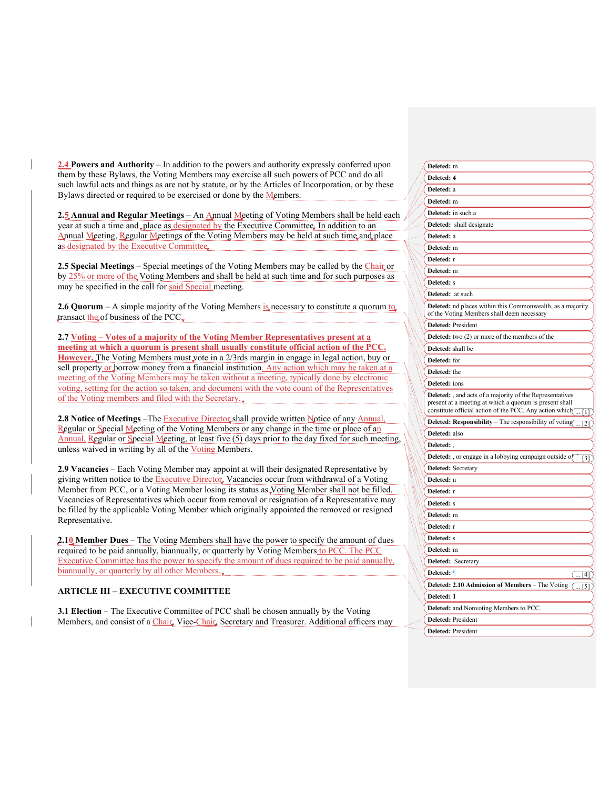**2.4 Powers and Authority** – In addition to the powers and authority expressly conferred upon them by these Bylaws, the Voting Members may exercise all such powers of PCC and do all such lawful acts and things as are not by statute, or by the Articles of Incorporation, or by these Bylaws directed or required to be exercised or done by the Members.

**2.5 Annual and Regular Meetings** – An Annual Meeting of Voting Members shall be held each year at such a time and place as designated by the Executive Committee. In addition to an Annual Meeting, Regular Meetings of the Voting Members may be held at such time and place as designated by the Executive Committee.

**2.5 Special Meetings** – Special meetings of the Voting Members may be called by the Chair or by 25% or more of the Voting Members and shall be held at such time and for such purposes as may be specified in the call for said Special meeting.

**2.6 Quorum** – A simple majority of the Voting Members is necessary to constitute a quorum to transact the of business of the PCC.

**2.7 Voting – Votes of a majority of the Voting Member Representatives present at a meeting at which a quorum is present shall usually constitute official action of the PCC. However,** The Voting Members must vote in a 2/3rds margin in engage in legal action, buy or sell property or borrow money from a financial institution. Any action which may be taken at a meeting of the Voting Members may be taken without a meeting, typically done by electronic voting, setting for the action so taken, and document with the vote count of the Representatives of the Voting members and filed with the Secretary.

**2.8 Notice of Meetings** –The Executive Director shall provide written Notice of any Annual, Regular or Special Meeting of the Voting Members or any change in the time or place of an Annual, Regular or Special Meeting, at least five (5) days prior to the day fixed for such meeting, unless waived in writing by all of the Voting Members.

**2.9 Vacancies** – Each Voting Member may appoint at will their designated Representative by giving written notice to the Executive Director. Vacancies occur from withdrawal of a Voting Member from PCC, or a Voting Member losing its status as Voting Member shall not be filled. Vacancies of Representatives which occur from removal or resignation of a Representative may be filled by the applicable Voting Member which originally appointed the removed or resigned Representative.

**2.10 Member Dues** – The Voting Members shall have the power to specify the amount of dues required to be paid annually, biannually, or quarterly by Voting Members to PCC. The PCC Executive Committee has the power to specify the amount of dues required to be paid annually, biannually, or quarterly by all other Members.

# **ARTICLE III – EXECUTIVE COMMITTEE**

**3.1 Election** – The Executive Committee of PCC shall be chosen annually by the Voting Members, and consist of a *Chair*, Vice-*Chair*, Secretary and Treasurer. Additional officers may

| Deleted: m                                                                                                                                                                                                             |
|------------------------------------------------------------------------------------------------------------------------------------------------------------------------------------------------------------------------|
| Deleted: 4                                                                                                                                                                                                             |
| Deleted: a                                                                                                                                                                                                             |
| Deleted: m                                                                                                                                                                                                             |
| Deleted: in such a                                                                                                                                                                                                     |
| Deleted: shall designate                                                                                                                                                                                               |
| Deleted: a                                                                                                                                                                                                             |
| Deleted: m                                                                                                                                                                                                             |
| Deleted: r                                                                                                                                                                                                             |
| Deleted: m                                                                                                                                                                                                             |
| Deleted: s                                                                                                                                                                                                             |
| Deleted: at such                                                                                                                                                                                                       |
| Deleted: nd places within this Commonwealth, as a majority<br>of the Voting Members shall deem necessary                                                                                                               |
| Deleted: President                                                                                                                                                                                                     |
| <b>Deleted:</b> two (2) or more of the members of the                                                                                                                                                                  |
| Deleted: shall be                                                                                                                                                                                                      |
| Deleted: for                                                                                                                                                                                                           |
| Deleted: the                                                                                                                                                                                                           |
| Deleted: ions                                                                                                                                                                                                          |
| <b>Deleted:</b> , and acts of a majority of the Representatives<br>present at a meeting at which a quorum is present shall<br>constitute official action of the PCC. Any action which $\frac{1}{\sqrt{1-\frac{1}{n}}}$ |
| Deleted: Responsibility - The responsibility of voting                                                                                                                                                                 |
| Deleted: also                                                                                                                                                                                                          |
| Deleted:                                                                                                                                                                                                               |
| <b>Deleted:</b> , or engage in a lobbying campaign outside of $\frac{1}{\sqrt{3}}$                                                                                                                                     |
| Deleted: Secretary                                                                                                                                                                                                     |
| Deleted: n                                                                                                                                                                                                             |
| Deleted: r                                                                                                                                                                                                             |
| Deleted: s                                                                                                                                                                                                             |
| Deleted: m                                                                                                                                                                                                             |
| Deleted: r                                                                                                                                                                                                             |
| Deleted: s                                                                                                                                                                                                             |
| Deleted: m                                                                                                                                                                                                             |
| Deleted: Secretary                                                                                                                                                                                                     |
| Deleted: 1<br>$\overline{(-1)^{4}}$                                                                                                                                                                                    |
| Deleted: 2.10 Admission of Members - The Voting<br>( 5]                                                                                                                                                                |
| Deleted: 1                                                                                                                                                                                                             |
| Deleted: and Nonvoting Members to PCC.                                                                                                                                                                                 |
| Deleted: President                                                                                                                                                                                                     |
| Deleted: President                                                                                                                                                                                                     |
|                                                                                                                                                                                                                        |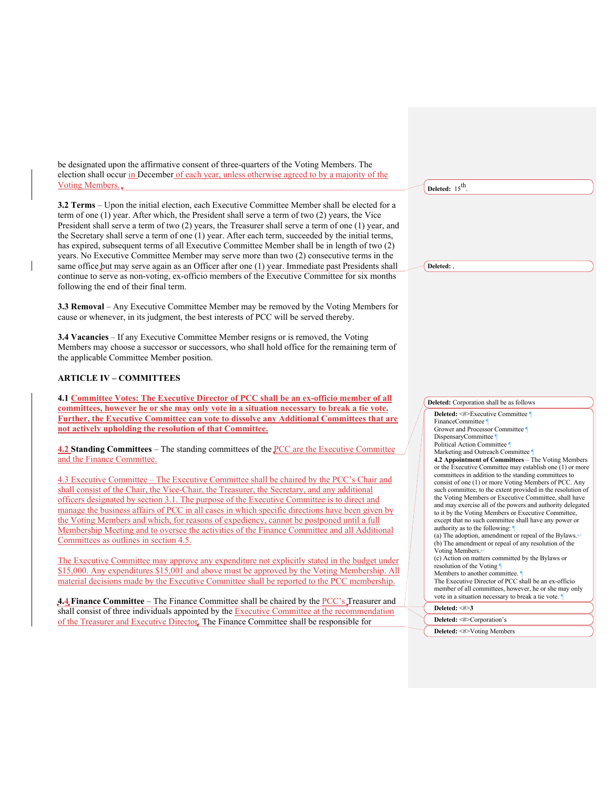be designated upon the affirmative consent of three-quarters of the Voting Members. The election shall occur in December of each year, unless otherwise agreed to by a majority of the Voting Members.

**3.2 Terms** – Upon the initial election, each Executive Committee Member shall be elected for a term of one (1) year. After which, the President shall serve a term of two (2) years, the Vice President shall serve a term of two (2) years, the Treasurer shall serve a term of one (1) year, and the Secretary shall serve a term of one (1) year. After each term, succeeded by the initial terms, has expired, subsequent terms of all Executive Committee Member shall be in length of two (2) years. No Executive Committee Member may serve more than two (2) consecutive terms in the same office but may serve again as an Officer after one (1) year. Immediate past Presidents shall continue to serve as non-voting, ex-officio members of the Executive Committee for six months following the end of their final term.

**3.3 Removal** – Any Executive Committee Member may be removed by the Voting Members for cause or whenever, in its judgment, the best interests of PCC will be served thereby.

**3.4 Vacancies** – If any Executive Committee Member resigns or is removed, the Voting Members may choose a successor or successors, who shall hold office for the remaining term of the applicable Committee Member position.

# **ARTICLE IV – COMMITTEES**

**4.1 Committee Votes: The Executive Director of PCC shall be an ex-officio member of all committees, however he or she may only vote in a situation necessary to break a tie vote. Further, the Executive Committee can vote to dissolve any Additional Committees that are not actively upholding the resolution of that Committee.**

**4.2 Standing Committees** – The standing committees of the PCC are the Executive Committee and the Finance Committee.

4.3 Executive Committee – The Executive Committee shall be chaired by the PCC's Chair and shall consist of the Chair, the Vice-Chair, the Treasurer, the Secretary, and any additional officers designated by section 3.1. The purpose of the Executive Committee is to direct and manage the business affairs of PCC in all cases in which specific directions have been given by the Voting Members and which, for reasons of expediency, cannot be postponed until a full Membership Meeting and to oversee the activities of the Finance Committee and all Additional Committees as outlines in section 4.5.

The Executive Committee may approve any expenditure not explicitly stated in the budget under \$15,000. Any expenditures \$15,001 and above must be approved by the Voting Membership. All material decisions made by the Executive Committee shall be reported to the PCC membership.

**4.4 Finance Committee** – The Finance Committee shall be chaired by the PCC's Treasurer and shall consist of three individuals appointed by the Executive Committee at the recommendation of the Treasurer and Executive Director. The Finance Committee shall be responsible for

**Deleted:**  $15^{th}$ .

**Deleted:** ,



**Deleted:** <#>Corporation's

**Deleted:** <#>Voting Members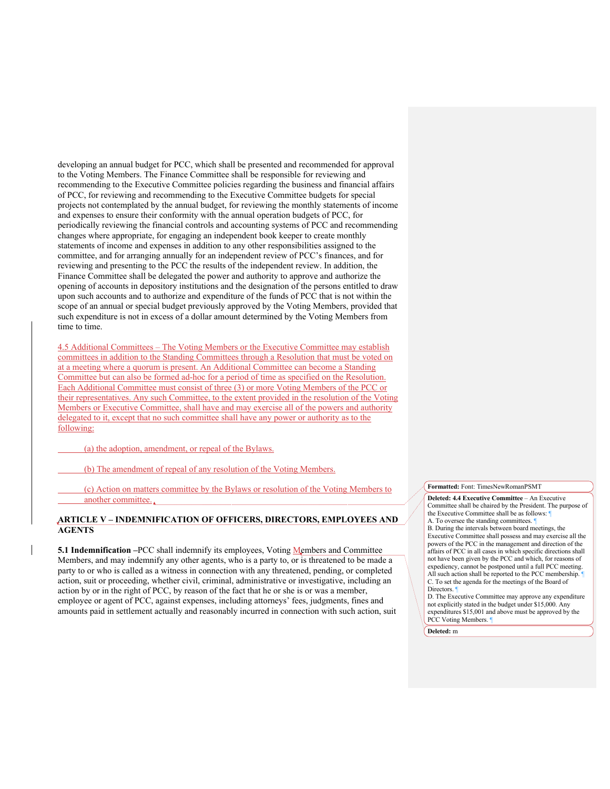developing an annual budget for PCC, which shall be presented and recommended for approval to the Voting Members. The Finance Committee shall be responsible for reviewing and recommending to the Executive Committee policies regarding the business and financial affairs of PCC, for reviewing and recommending to the Executive Committee budgets for special projects not contemplated by the annual budget, for reviewing the monthly statements of income and expenses to ensure their conformity with the annual operation budgets of PCC, for periodically reviewing the financial controls and accounting systems of PCC and recommending changes where appropriate, for engaging an independent book keeper to create monthly statements of income and expenses in addition to any other responsibilities assigned to the committee, and for arranging annually for an independent review of PCC's finances, and for reviewing and presenting to the PCC the results of the independent review. In addition, the Finance Committee shall be delegated the power and authority to approve and authorize the opening of accounts in depository institutions and the designation of the persons entitled to draw upon such accounts and to authorize and expenditure of the funds of PCC that is not within the scope of an annual or special budget previously approved by the Voting Members, provided that such expenditure is not in excess of a dollar amount determined by the Voting Members from time to time.

4.5 Additional Committees – The Voting Members or the Executive Committee may establish committees in addition to the Standing Committees through a Resolution that must be voted on at a meeting where a quorum is present. An Additional Committee can become a Standing Committee but can also be formed ad-hoc for a period of time as specified on the Resolution. Each Additional Committee must consist of three (3) or more Voting Members of the PCC or their representatives. Any such Committee, to the extent provided in the resolution of the Voting Members or Executive Committee, shall have and may exercise all of the powers and authority delegated to it, except that no such committee shall have any power or authority as to the following:

(a) the adoption, amendment, or repeal of the Bylaws.

(b) The amendment of repeal of any resolution of the Voting Members.

(c) Action on matters committee by the Bylaws or resolution of the Voting Members to another committee.

#### **ARTICLE V – INDEMNIFICATION OF OFFICERS, DIRECTORS, EMPLOYEES AND AGENTS**

**5.1 Indemnification –**PCC shall indemnify its employees, Voting Members and Committee Members, and may indemnify any other agents, who is a party to, or is threatened to be made a party to or who is called as a witness in connection with any threatened, pending, or completed action, suit or proceeding, whether civil, criminal, administrative or investigative, including an action by or in the right of PCC, by reason of the fact that he or she is or was a member, employee or agent of PCC, against expenses, including attorneys' fees, judgments, fines and amounts paid in settlement actually and reasonably incurred in connection with such action, suit **Formatted:** Font: TimesNewRomanPSMT

**Deleted: 4.4 Executive Committee** – An Executive Committee shall be chaired by the President. The purpose of the Executive Committee shall be as follows: ¶ A. To oversee the standing committees.

B. During the intervals between board meetings, the Executive Committee shall possess and may exercise all the powers of the PCC in the management and direction of the affairs of PCC in all cases in which specific directions shall not have been given by the PCC and which, for reasons of expediency, cannot be postponed until a full PCC meeting. All such action shall be reported to the PCC membership. C. To set the agenda for the meetings of the Board of Directors.

D. The Executive Committee may approve any expenditure not explicitly stated in the budget under \$15,000. Any expenditures \$15,001 and above must be approved by the PCC Voting Members.

**Deleted:** m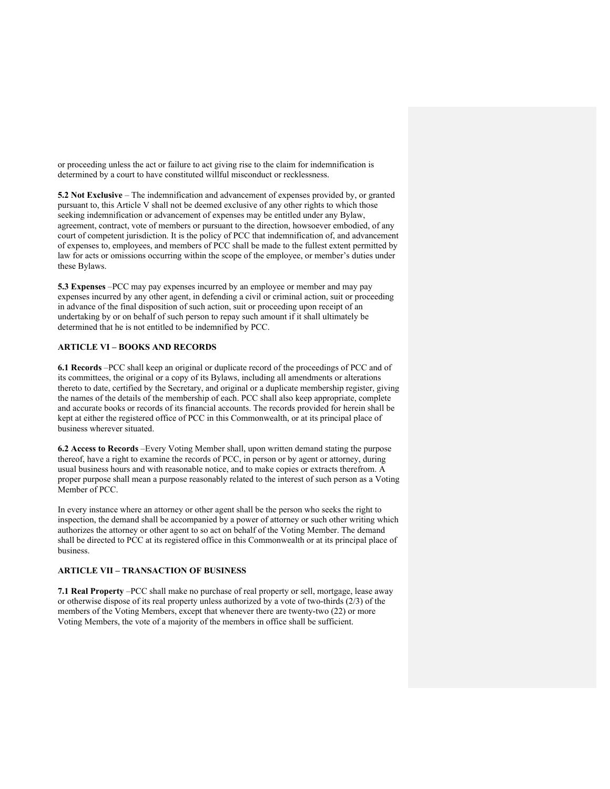or proceeding unless the act or failure to act giving rise to the claim for indemnification is determined by a court to have constituted willful misconduct or recklessness.

**5.2 Not Exclusive** – The indemnification and advancement of expenses provided by, or granted pursuant to, this Article V shall not be deemed exclusive of any other rights to which those seeking indemnification or advancement of expenses may be entitled under any Bylaw, agreement, contract, vote of members or pursuant to the direction, howsoever embodied, of any court of competent jurisdiction. It is the policy of PCC that indemnification of, and advancement of expenses to, employees, and members of PCC shall be made to the fullest extent permitted by law for acts or omissions occurring within the scope of the employee, or member's duties under these Bylaws.

**5.3 Expenses** –PCC may pay expenses incurred by an employee or member and may pay expenses incurred by any other agent, in defending a civil or criminal action, suit or proceeding in advance of the final disposition of such action, suit or proceeding upon receipt of an undertaking by or on behalf of such person to repay such amount if it shall ultimately be determined that he is not entitled to be indemnified by PCC.

### **ARTICLE VI – BOOKS AND RECORDS**

**6.1 Records** –PCC shall keep an original or duplicate record of the proceedings of PCC and of its committees, the original or a copy of its Bylaws, including all amendments or alterations thereto to date, certified by the Secretary, and original or a duplicate membership register, giving the names of the details of the membership of each. PCC shall also keep appropriate, complete and accurate books or records of its financial accounts. The records provided for herein shall be kept at either the registered office of PCC in this Commonwealth, or at its principal place of business wherever situated.

**6.2 Access to Records** –Every Voting Member shall, upon written demand stating the purpose thereof, have a right to examine the records of PCC, in person or by agent or attorney, during usual business hours and with reasonable notice, and to make copies or extracts therefrom. A proper purpose shall mean a purpose reasonably related to the interest of such person as a Voting Member of PCC.

In every instance where an attorney or other agent shall be the person who seeks the right to inspection, the demand shall be accompanied by a power of attorney or such other writing which authorizes the attorney or other agent to so act on behalf of the Voting Member. The demand shall be directed to PCC at its registered office in this Commonwealth or at its principal place of business.

#### **ARTICLE VII – TRANSACTION OF BUSINESS**

**7.1 Real Property** –PCC shall make no purchase of real property or sell, mortgage, lease away or otherwise dispose of its real property unless authorized by a vote of two-thirds (2/3) of the members of the Voting Members, except that whenever there are twenty-two (22) or more Voting Members, the vote of a majority of the members in office shall be sufficient.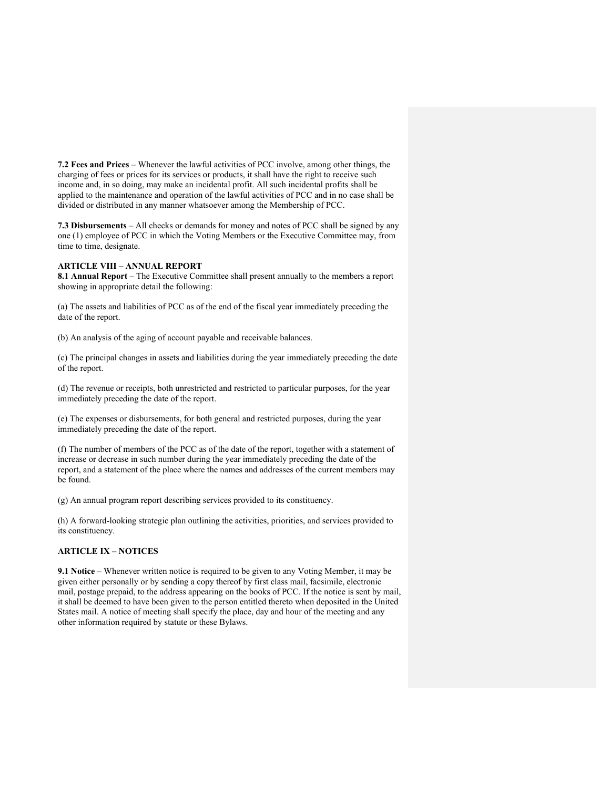**7.2 Fees and Prices** – Whenever the lawful activities of PCC involve, among other things, the charging of fees or prices for its services or products, it shall have the right to receive such income and, in so doing, may make an incidental profit. All such incidental profits shall be applied to the maintenance and operation of the lawful activities of PCC and in no case shall be divided or distributed in any manner whatsoever among the Membership of PCC.

**7.3 Disbursements** – All checks or demands for money and notes of PCC shall be signed by any one (1) employee of PCC in which the Voting Members or the Executive Committee may, from time to time, designate.

### **ARTICLE VIII – ANNUAL REPORT**

**8.1 Annual Report** – The Executive Committee shall present annually to the members a report showing in appropriate detail the following:

(a) The assets and liabilities of PCC as of the end of the fiscal year immediately preceding the date of the report.

(b) An analysis of the aging of account payable and receivable balances.

(c) The principal changes in assets and liabilities during the year immediately preceding the date of the report.

(d) The revenue or receipts, both unrestricted and restricted to particular purposes, for the year immediately preceding the date of the report.

(e) The expenses or disbursements, for both general and restricted purposes, during the year immediately preceding the date of the report.

(f) The number of members of the PCC as of the date of the report, together with a statement of increase or decrease in such number during the year immediately preceding the date of the report, and a statement of the place where the names and addresses of the current members may be found.

(g) An annual program report describing services provided to its constituency.

(h) A forward-looking strategic plan outlining the activities, priorities, and services provided to its constituency.

#### **ARTICLE IX – NOTICES**

**9.1 Notice** – Whenever written notice is required to be given to any Voting Member, it may be given either personally or by sending a copy thereof by first class mail, facsimile, electronic mail, postage prepaid, to the address appearing on the books of PCC. If the notice is sent by mail, it shall be deemed to have been given to the person entitled thereto when deposited in the United States mail. A notice of meeting shall specify the place, day and hour of the meeting and any other information required by statute or these Bylaws.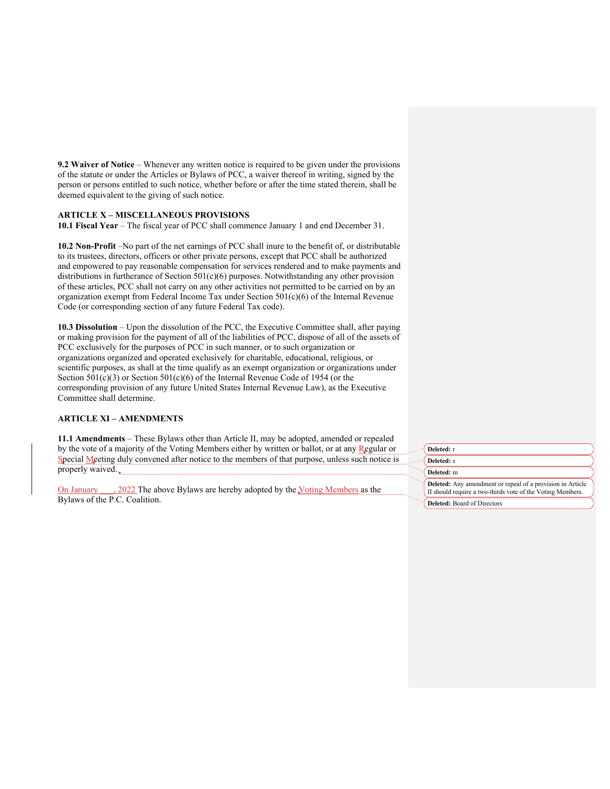**9.2 Waiver of Notice** – Whenever any written notice is required to be given under the provisions of the statute or under the Articles or Bylaws of PCC, a waiver thereof in writing, signed by the person or persons entitled to such notice, whether before or after the time stated therein, shall be deemed equivalent to the giving of such notice.

# **ARTICLE X – MISCELLANEOUS PROVISIONS**

**10.1 Fiscal Year** – The fiscal year of PCC shall commence January 1 and end December 31.

**10.2 Non-Profit** –No part of the net earnings of PCC shall inure to the benefit of, or distributable to its trustees, directors, officers or other private persons, except that PCC shall be authorized and empowered to pay reasonable compensation for services rendered and to make payments and distributions in furtherance of Section 501(c)(6) purposes. Notwithstanding any other provision of these articles, PCC shall not carry on any other activities not permitted to be carried on by an organization exempt from Federal Income Tax under Section  $501(c)(6)$  of the Internal Revenue Code (or corresponding section of any future Federal Tax code).

**10.3 Dissolution** – Upon the dissolution of the PCC, the Executive Committee shall, after paying or making provision for the payment of all of the liabilities of PCC, dispose of all of the assets of PCC exclusively for the purposes of PCC in such manner, or to such organization or organizations organized and operated exclusively for charitable, educational, religious, or scientific purposes, as shall at the time qualify as an exempt organization or organizations under Section 501(c)(3) or Section 501(c)(6) of the Internal Revenue Code of 1954 (or the corresponding provision of any future United States Internal Revenue Law), as the Executive Committee shall determine.

### **ARTICLE XI – AMENDMENTS**

**11.1 Amendments** – These Bylaws other than Article II, may be adopted, amended or repealed by the vote of a majority of the Voting Members either by written or ballot, or at any Regular or Special Meeting duly convened after notice to the members of that purpose, unless such notice is properly waived.

On January \_\_\_, 2022 The above Bylaws are hereby adopted by the Voting Members as the Bylaws of the P.C. Coalition.

| Deleted: r                                                                                                               |
|--------------------------------------------------------------------------------------------------------------------------|
| Deleted: s                                                                                                               |
| Deleted: m                                                                                                               |
| Deleted: Any amendment or repeal of a provision in Article<br>II should require a two-thirds vote of the Voting Members. |
| <b>Deleted:</b> Board of Directors                                                                                       |